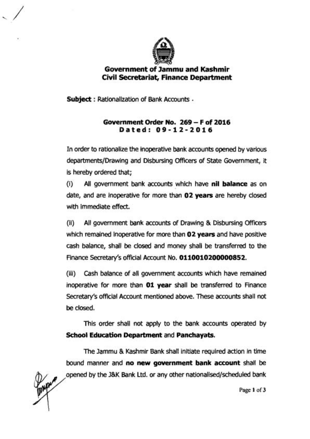

## **Government of Jammu and Kashmir Civil Secretariat, Finance Department**

**Subject** : Rationalization of Bank Accounts .

## **Government Order No. 269** - **F of 2016 Dated: 09-12-2016**

In order to rationalize the inoperative bank accounts opened by various departments/Drawing and Disbursing Officers of State Government, it is hereby ordered that;

(i) All government bank accounts which have **nil balance** as on date, and are inoperative for more than **02 years** are hereby closed with immediate effect.

(ii) All government bank accounts of Drawing & Disbursing Officers which remained inoperative for more than **02 years** and have positive cash balance, shall be closed and money shall be transferred to the Finance Secretary's official Account No. **0110010200000852.** 

(iii) Cash balance of all government accounts which have remained inoperative for more than **01 year** shall **be** transferred to Finance Secretary's official Account mentioned above. These accounts shall not be closed.

This order shall not apply to the bank accounts operated by **School Education Department** and **Panchayats.** 

The Jammu & Kashmir Bank shall initiate required action in time bound manner and **no new government bank account** shall **be**  opened by the J&K Bank Ltd. or any other nationalised/scheduled bank

Page **1** of **3**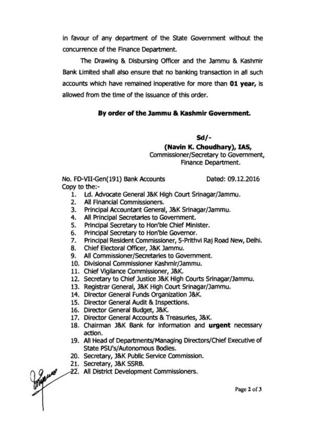in favour of any department of the State Government without the concurrence of the Finance Department.

The Drawing & Disbursing Officer and the Jammu & Kashmir Bank Limited shall also ensure that no banking transaction in all such accounts which have remained inoperative for more than 01 **year,** is allowed from the time of the issuance of this order.

## **By order of the Jammu** & **Kashmir Government.**

**a/-** 

**(Navin K. Choudhary), US,** 

Commissioner/Secretary to Government, Finance Department.

No. FD-VII-Gen(191) Bank Accounts Dated: 09.12.2016 Copy to the:-

- 1. Ld. Advocate General J&K High Court Srinagar/Jammu.
- 2. All Financial Commissioners.
- 3. Principal Accountant General, J&K Srinagar/Jammu.
- 4. All Principal Secretaries to Government.
- 5. Principal Secretary to Hon'ble Chief Minister.
- 6. Principal Secretary to Hon'ble Governor.
- 7. Principal Resident Commissioner, 5-Prithvi **Raj** Road New, Delhi.
- 8. Chief Electoral Officer, J&K Jammu.
- 9. All **Commissioner/Secretaries** to Government.
- 10. Divisional Commissioner Kashmir/Jammu.
- 11. Chief Vigilance Commissioner, J&K.
- 12. Secretary to Chief Justice J&K High Courts Srinagar/Jammu.
- 13. Registrar General, J&K High Court Srinagar/Jammu.
- 14. Director General Funds Organization J&K.
- 15. Director General Audit & Inspections.
- 16. Director General Budget, J&K.
- 17. Director General Accounts & Treasuries, J&K.
- 18. Chairman J&K Bank for information and **urgent** necessary action.
- 19. All Head of Departments/Managing Directors/Chief Executive of State PSU's/Autonomous Bodies.
- 20. Secretary, J&K Public Service Commission.
- 21. Secretary, J&K SSRB.
- 22. All District Development Commissioners.